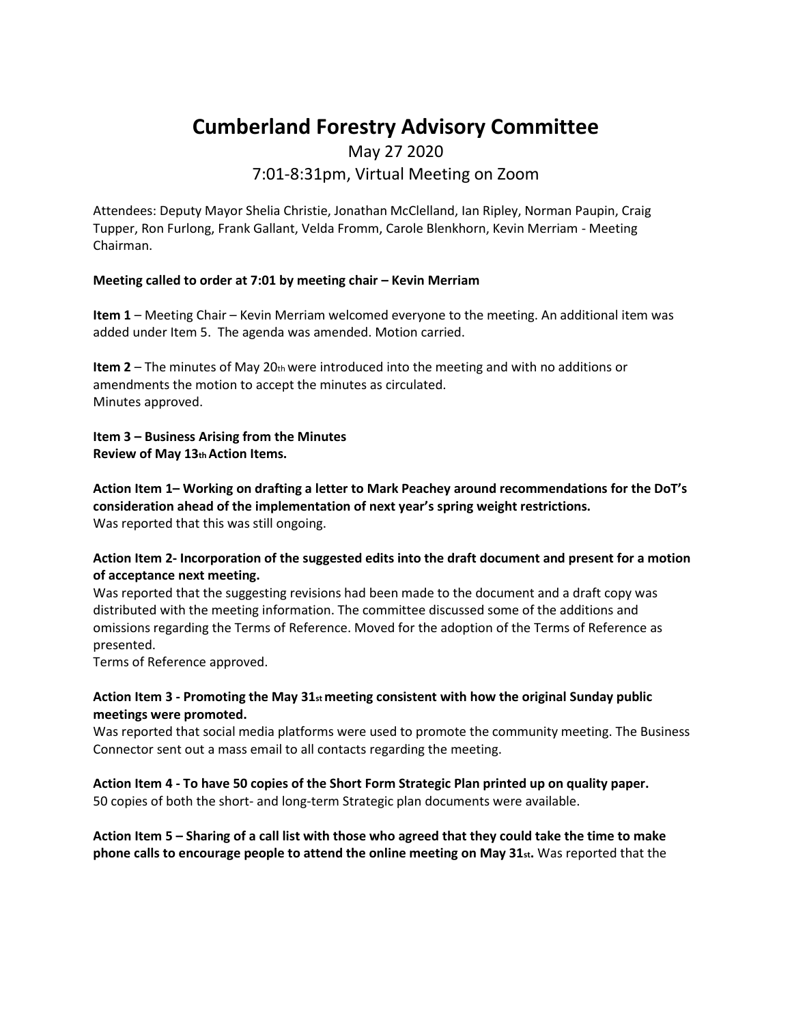# **Cumberland Forestry Advisory Committee**

# May 27 2020 7:01-8:31pm, Virtual Meeting on Zoom

Attendees: Deputy Mayor Shelia Christie, Jonathan McClelland, Ian Ripley, Norman Paupin, Craig Tupper, Ron Furlong, Frank Gallant, Velda Fromm, Carole Blenkhorn, Kevin Merriam - Meeting Chairman.

### **Meeting called to order at 7:01 by meeting chair – Kevin Merriam**

**Item 1** – Meeting Chair – Kevin Merriam welcomed everyone to the meeting. An additional item was added under Item 5. The agenda was amended. Motion carried.

**Item 2** – The minutes of May 20th were introduced into the meeting and with no additions or amendments the motion to accept the minutes as circulated. Minutes approved.

**Item 3 – Business Arising from the Minutes Review of May 13th Action Items.** 

**Action Item 1– Working on drafting a letter to Mark Peachey around recommendations for the DoT's consideration ahead of the implementation of next year's spring weight restrictions.**  Was reported that this was still ongoing.

**Action Item 2- Incorporation of the suggested edits into the draft document and present for a motion of acceptance next meeting.**

Was reported that the suggesting revisions had been made to the document and a draft copy was distributed with the meeting information. The committee discussed some of the additions and omissions regarding the Terms of Reference. Moved for the adoption of the Terms of Reference as presented.

Terms of Reference approved.

## **Action Item 3 - Promoting the May 31st meeting consistent with how the original Sunday public meetings were promoted.**

Was reported that social media platforms were used to promote the community meeting. The Business Connector sent out a mass email to all contacts regarding the meeting.

**Action Item 4 - To have 50 copies of the Short Form Strategic Plan printed up on quality paper.**  50 copies of both the short- and long-term Strategic plan documents were available.

**Action Item 5 – Sharing of a call list with those who agreed that they could take the time to make phone calls to encourage people to attend the online meeting on May 31st.** Was reported that the